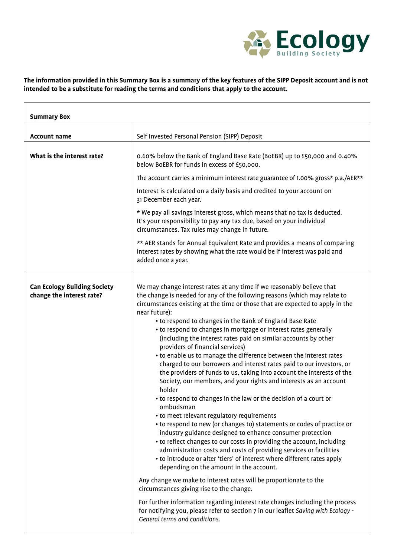

## **The information provided in this Summary Box is a summary of the key features of the SIPP Deposit account and is not intended to be a substitute for reading the terms and conditions that apply to the account.**

| <b>Summary Box</b>                                               |                                                                                                                                                                                                                                                                                                                                                                                                                                                                                                                                                                                                                                                                                                                                                                                                                                                                                                                                                                                                                                                                                                                                                                                                                                                                                                                                                                                                                                                                                                                                                                                                                                                                         |
|------------------------------------------------------------------|-------------------------------------------------------------------------------------------------------------------------------------------------------------------------------------------------------------------------------------------------------------------------------------------------------------------------------------------------------------------------------------------------------------------------------------------------------------------------------------------------------------------------------------------------------------------------------------------------------------------------------------------------------------------------------------------------------------------------------------------------------------------------------------------------------------------------------------------------------------------------------------------------------------------------------------------------------------------------------------------------------------------------------------------------------------------------------------------------------------------------------------------------------------------------------------------------------------------------------------------------------------------------------------------------------------------------------------------------------------------------------------------------------------------------------------------------------------------------------------------------------------------------------------------------------------------------------------------------------------------------------------------------------------------------|
| <b>Account name</b>                                              | Self Invested Personal Pension (SIPP) Deposit                                                                                                                                                                                                                                                                                                                                                                                                                                                                                                                                                                                                                                                                                                                                                                                                                                                                                                                                                                                                                                                                                                                                                                                                                                                                                                                                                                                                                                                                                                                                                                                                                           |
| What is the interest rate?                                       | 0.60% below the Bank of England Base Rate (BoEBR) up to £50,000 and 0.40%<br>below BoEBR for funds in excess of £50,000.                                                                                                                                                                                                                                                                                                                                                                                                                                                                                                                                                                                                                                                                                                                                                                                                                                                                                                                                                                                                                                                                                                                                                                                                                                                                                                                                                                                                                                                                                                                                                |
|                                                                  | The account carries a minimum interest rate guarantee of 1.00% gross* p.a./AER**<br>Interest is calculated on a daily basis and credited to your account on<br>31 December each year.                                                                                                                                                                                                                                                                                                                                                                                                                                                                                                                                                                                                                                                                                                                                                                                                                                                                                                                                                                                                                                                                                                                                                                                                                                                                                                                                                                                                                                                                                   |
|                                                                  | * We pay all savings interest gross, which means that no tax is deducted.<br>It's your responsibility to pay any tax due, based on your individual<br>circumstances. Tax rules may change in future.                                                                                                                                                                                                                                                                                                                                                                                                                                                                                                                                                                                                                                                                                                                                                                                                                                                                                                                                                                                                                                                                                                                                                                                                                                                                                                                                                                                                                                                                    |
|                                                                  | ** AER stands for Annual Equivalent Rate and provides a means of comparing<br>interest rates by showing what the rate would be if interest was paid and<br>added once a year.                                                                                                                                                                                                                                                                                                                                                                                                                                                                                                                                                                                                                                                                                                                                                                                                                                                                                                                                                                                                                                                                                                                                                                                                                                                                                                                                                                                                                                                                                           |
| <b>Can Ecology Building Society</b><br>change the interest rate? | We may change interest rates at any time if we reasonably believe that<br>the change is needed for any of the following reasons (which may relate to<br>circumstances existing at the time or those that are expected to apply in the<br>near future):<br>• to respond to changes in the Bank of England Base Rate<br>• to respond to changes in mortgage or interest rates generally<br>(including the interest rates paid on similar accounts by other<br>providers of financial services)<br>• to enable us to manage the difference between the interest rates<br>charged to our borrowers and interest rates paid to our investors, or<br>the providers of funds to us, taking into account the interests of the<br>Society, our members, and your rights and interests as an account<br>holder<br>• to respond to changes in the law or the decision of a court or<br>ombudsman<br>• to meet relevant regulatory requirements<br>• to respond to new (or changes to) statements or codes of practice or<br>industry guidance designed to enhance consumer protection<br>• to reflect changes to our costs in providing the account, including<br>administration costs and costs of providing services or facilities<br>• to introduce or alter 'tiers' of interest where different rates apply<br>depending on the amount in the account.<br>Any change we make to interest rates will be proportionate to the<br>circumstances giving rise to the change.<br>For further information regarding interest rate changes including the process<br>for notifying you, please refer to section 7 in our leaflet Saving with Ecology -<br>General terms and conditions. |